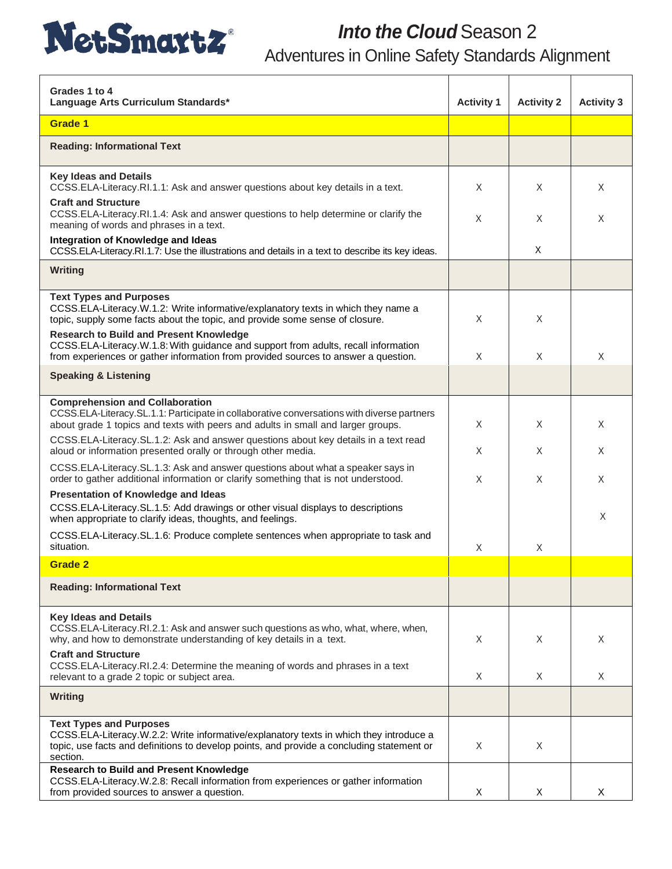

## *Into the Cloud* Season 2

Adventures in Online Safety Standards Alignment

| Grades 1 to 4<br>Language Arts Curriculum Standards*                                                                                                                                                                              | <b>Activity 1</b> | <b>Activity 2</b> | <b>Activity 3</b> |
|-----------------------------------------------------------------------------------------------------------------------------------------------------------------------------------------------------------------------------------|-------------------|-------------------|-------------------|
| Grade 1                                                                                                                                                                                                                           |                   |                   |                   |
| <b>Reading: Informational Text</b>                                                                                                                                                                                                |                   |                   |                   |
| <b>Key Ideas and Details</b><br>CCSS.ELA-Literacy.RI.1.1: Ask and answer questions about key details in a text.                                                                                                                   | X                 | X                 | X                 |
| <b>Craft and Structure</b><br>CCSS.ELA-Literacy.RI.1.4: Ask and answer questions to help determine or clarify the<br>meaning of words and phrases in a text.                                                                      | X                 | X                 | X                 |
| Integration of Knowledge and Ideas<br>CCSS.ELA-Literacy.RI.1.7: Use the illustrations and details in a text to describe its key ideas.                                                                                            |                   | X                 |                   |
| Writing                                                                                                                                                                                                                           |                   |                   |                   |
| <b>Text Types and Purposes</b><br>CCSS.ELA-Literacy.W.1.2: Write informative/explanatory texts in which they name a<br>topic, supply some facts about the topic, and provide some sense of closure.                               | X                 | X                 |                   |
| <b>Research to Build and Present Knowledge</b><br>CCSS.ELA-Literacy.W.1.8: With guidance and support from adults, recall information<br>from experiences or gather information from provided sources to answer a question.        | X                 | X                 | X                 |
| <b>Speaking &amp; Listening</b>                                                                                                                                                                                                   |                   |                   |                   |
| <b>Comprehension and Collaboration</b><br>CCSS.ELA-Literacy.SL.1.1: Participate in collaborative conversations with diverse partners<br>about grade 1 topics and texts with peers and adults in small and larger groups.          | X                 | X                 | X                 |
| CCSS.ELA-Literacy.SL.1.2: Ask and answer questions about key details in a text read<br>aloud or information presented orally or through other media.                                                                              | X                 | X                 | X                 |
| CCSS.ELA-Literacy.SL.1.3: Ask and answer questions about what a speaker says in<br>order to gather additional information or clarify something that is not understood.                                                            | X                 | X                 | X                 |
| Presentation of Knowledge and Ideas<br>CCSS.ELA-Literacy.SL.1.5: Add drawings or other visual displays to descriptions<br>when appropriate to clarify ideas, thoughts, and feelings.                                              |                   |                   | X                 |
| CCSS.ELA-Literacy.SL.1.6: Produce complete sentences when appropriate to task and<br>situation.                                                                                                                                   | X                 | X                 |                   |
| <b>Grade 2</b>                                                                                                                                                                                                                    |                   |                   |                   |
| <b>Reading: Informational Text</b>                                                                                                                                                                                                |                   |                   |                   |
| <b>Key Ideas and Details</b><br>CCSS.ELA-Literacy.RI.2.1: Ask and answer such questions as who, what, where, when,<br>why, and how to demonstrate understanding of key details in a text.                                         | X                 | X                 | X                 |
| <b>Craft and Structure</b><br>CCSS.ELA-Literacy.RI.2.4: Determine the meaning of words and phrases in a text<br>relevant to a grade 2 topic or subject area.                                                                      | X                 | X                 | X                 |
| <b>Writing</b>                                                                                                                                                                                                                    |                   |                   |                   |
| <b>Text Types and Purposes</b><br>CCSS.ELA-Literacy.W.2.2: Write informative/explanatory texts in which they introduce a<br>topic, use facts and definitions to develop points, and provide a concluding statement or<br>section. | X                 | X                 |                   |
| <b>Research to Build and Present Knowledge</b><br>CCSS.ELA-Literacy.W.2.8: Recall information from experiences or gather information<br>from provided sources to answer a question.                                               | Χ                 | X                 | $\times$          |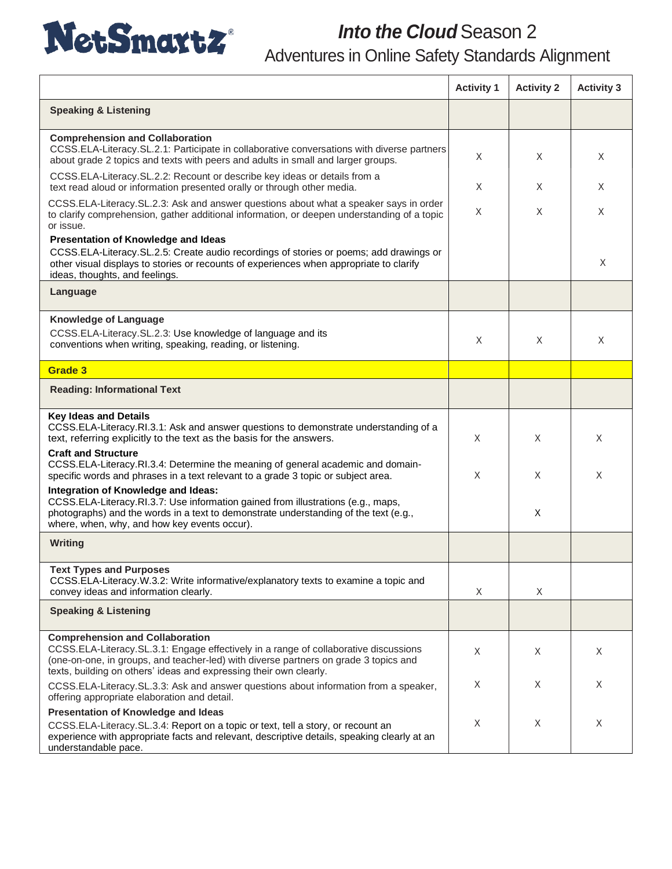

## *Into the Cloud* Season 2 Adventures in Online Safety Standards Alignment

|                                                                                                                                                                                                                                                                                              | <b>Activity 1</b> | <b>Activity 2</b> | <b>Activity 3</b> |
|----------------------------------------------------------------------------------------------------------------------------------------------------------------------------------------------------------------------------------------------------------------------------------------------|-------------------|-------------------|-------------------|
| <b>Speaking &amp; Listening</b>                                                                                                                                                                                                                                                              |                   |                   |                   |
| <b>Comprehension and Collaboration</b><br>CCSS.ELA-Literacy.SL.2.1: Participate in collaborative conversations with diverse partners<br>about grade 2 topics and texts with peers and adults in small and larger groups.                                                                     | X                 | X                 | X                 |
| CCSS.ELA-Literacy.SL.2.2: Recount or describe key ideas or details from a<br>text read aloud or information presented orally or through other media.                                                                                                                                         | X                 | X                 | X                 |
| CCSS.ELA-Literacy.SL.2.3: Ask and answer questions about what a speaker says in order<br>to clarify comprehension, gather additional information, or deepen understanding of a topic<br>or issue.                                                                                            | X                 | X                 | X                 |
| Presentation of Knowledge and Ideas<br>CCSS.ELA-Literacy.SL.2.5: Create audio recordings of stories or poems; add drawings or<br>other visual displays to stories or recounts of experiences when appropriate to clarify<br>ideas, thoughts, and feelings.                                   |                   |                   | X                 |
| Language                                                                                                                                                                                                                                                                                     |                   |                   |                   |
| <b>Knowledge of Language</b><br>CCSS.ELA-Literacy.SL.2.3: Use knowledge of language and its<br>conventions when writing, speaking, reading, or listening.                                                                                                                                    | X                 | X                 | X                 |
| Grade 3                                                                                                                                                                                                                                                                                      |                   |                   |                   |
| <b>Reading: Informational Text</b>                                                                                                                                                                                                                                                           |                   |                   |                   |
| <b>Key Ideas and Details</b><br>CCSS.ELA-Literacy.RI.3.1: Ask and answer questions to demonstrate understanding of a<br>text, referring explicitly to the text as the basis for the answers.                                                                                                 | X                 | X                 | X                 |
| <b>Craft and Structure</b><br>CCSS.ELA-Literacy.RI.3.4: Determine the meaning of general academic and domain-<br>specific words and phrases in a text relevant to a grade 3 topic or subject area.                                                                                           | X                 | X.                | X                 |
| Integration of Knowledge and Ideas:<br>CCSS.ELA-Literacy.RI.3.7: Use information gained from illustrations (e.g., maps,<br>photographs) and the words in a text to demonstrate understanding of the text (e.g.,<br>where, when, why, and how key events occur).                              |                   | X                 |                   |
| <b>Writing</b>                                                                                                                                                                                                                                                                               |                   |                   |                   |
| Text Types and Purposes<br>CCSS.ELA-Literacy.W.3.2: Write informative/explanatory texts to examine a topic and<br>convey ideas and information clearly.                                                                                                                                      | X                 | Χ                 |                   |
| <b>Speaking &amp; Listening</b>                                                                                                                                                                                                                                                              |                   |                   |                   |
| <b>Comprehension and Collaboration</b><br>CCSS.ELA-Literacy.SL.3.1: Engage effectively in a range of collaborative discussions<br>(one-on-one, in groups, and teacher-led) with diverse partners on grade 3 topics and<br>texts, building on others' ideas and expressing their own clearly. | X                 | X.                | X                 |
| CCSS.ELA-Literacy.SL.3.3: Ask and answer questions about information from a speaker,<br>offering appropriate elaboration and detail.                                                                                                                                                         | X                 | X.                | X                 |
| Presentation of Knowledge and Ideas                                                                                                                                                                                                                                                          |                   |                   |                   |
| CCSS.ELA-Literacy.SL.3.4: Report on a topic or text, tell a story, or recount an<br>experience with appropriate facts and relevant, descriptive details, speaking clearly at an<br>understandable pace.                                                                                      | X                 | X                 | X                 |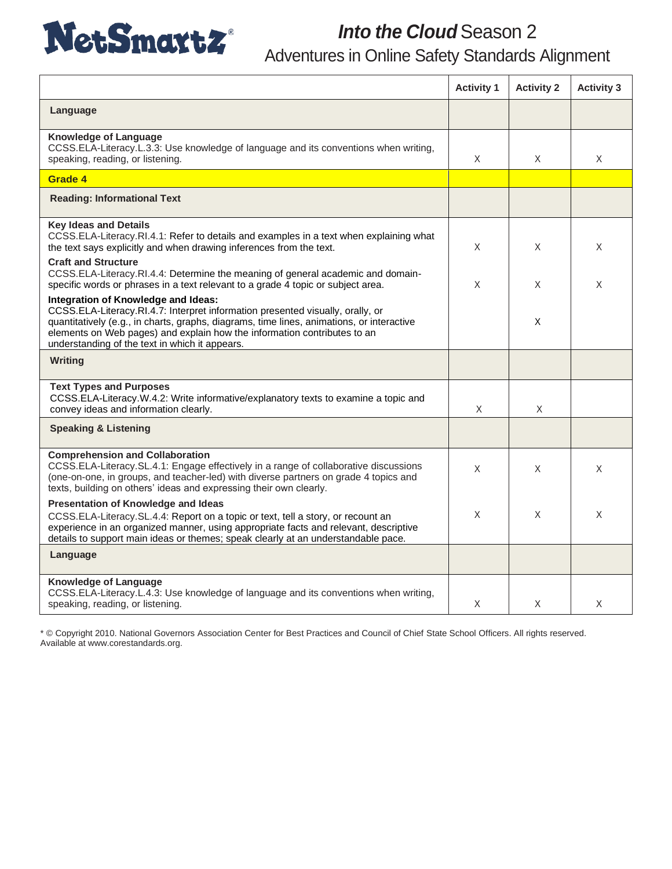

## **Into the Cloud** Season 2 Adventures in Online Safety Standards Alignment

|                                                                                                                                                                                                                                                                                                                                                  | <b>Activity 1</b> | <b>Activity 2</b> | <b>Activity 3</b> |
|--------------------------------------------------------------------------------------------------------------------------------------------------------------------------------------------------------------------------------------------------------------------------------------------------------------------------------------------------|-------------------|-------------------|-------------------|
| Language                                                                                                                                                                                                                                                                                                                                         |                   |                   |                   |
| <b>Knowledge of Language</b><br>CCSS.ELA-Literacy.L.3.3: Use knowledge of language and its conventions when writing,<br>speaking, reading, or listening.                                                                                                                                                                                         | X                 | X                 | X                 |
| Grade 4                                                                                                                                                                                                                                                                                                                                          |                   |                   |                   |
| <b>Reading: Informational Text</b>                                                                                                                                                                                                                                                                                                               |                   |                   |                   |
| <b>Key Ideas and Details</b><br>CCSS.ELA-Literacy.RI.4.1: Refer to details and examples in a text when explaining what<br>the text says explicitly and when drawing inferences from the text.                                                                                                                                                    | X.                | X                 | X                 |
| <b>Craft and Structure</b><br>CCSS.ELA-Literacy.RI.4.4: Determine the meaning of general academic and domain-<br>specific words or phrases in a text relevant to a grade 4 topic or subject area.                                                                                                                                                | X                 | X                 | X                 |
| Integration of Knowledge and Ideas:<br>CCSS.ELA-Literacy.RI.4.7: Interpret information presented visually, orally, or<br>quantitatively (e.g., in charts, graphs, diagrams, time lines, animations, or interactive<br>elements on Web pages) and explain how the information contributes to an<br>understanding of the text in which it appears. |                   | X                 |                   |
| Writing                                                                                                                                                                                                                                                                                                                                          |                   |                   |                   |
| <b>Text Types and Purposes</b><br>CCSS.ELA-Literacy.W.4.2: Write informative/explanatory texts to examine a topic and<br>convey ideas and information clearly.                                                                                                                                                                                   | X                 | X                 |                   |
| <b>Speaking &amp; Listening</b>                                                                                                                                                                                                                                                                                                                  |                   |                   |                   |
| <b>Comprehension and Collaboration</b><br>CCSS.ELA-Literacy.SL.4.1: Engage effectively in a range of collaborative discussions<br>(one-on-one, in groups, and teacher-led) with diverse partners on grade 4 topics and<br>texts, building on others' ideas and expressing their own clearly.                                                     | X                 | X                 | X                 |
| Presentation of Knowledge and Ideas<br>CCSS.ELA-Literacy.SL.4.4: Report on a topic or text, tell a story, or recount an<br>experience in an organized manner, using appropriate facts and relevant, descriptive<br>details to support main ideas or themes; speak clearly at an understandable pace.                                             | X                 | X                 | X                 |
| Language                                                                                                                                                                                                                                                                                                                                         |                   |                   |                   |
| <b>Knowledge of Language</b><br>CCSS.ELA-Literacy.L.4.3: Use knowledge of language and its conventions when writing,<br>speaking, reading, or listening.                                                                                                                                                                                         | X                 | X                 | X                 |

\* © Copyright 2010. National Governors Association Center for Best Practices and Council of Chief State School Officers. All rights reserved. Available at www.corestandards.org.